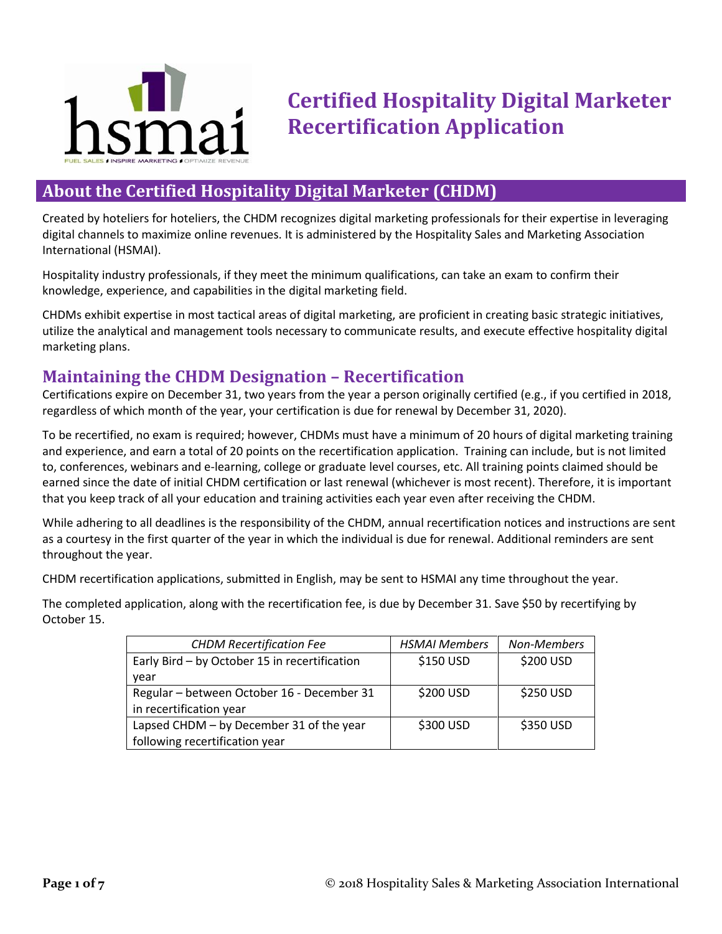

# **Certified Hospitality Digital Marketer Recertification Application**

## **About the Certified Hospitality Digital Marketer (CHDM)**

Created by hoteliers for hoteliers, the CHDM recognizes digital marketing professionals for their expertise in leveraging digital channels to maximize online revenues. It is administered by the Hospitality Sales and Marketing Association International (HSMAI).

Hospitality industry professionals, if they meet the minimum qualifications, can take an exam to confirm their knowledge, experience, and capabilities in the digital marketing field.

CHDMs exhibit expertise in most tactical areas of digital marketing, are proficient in creating basic strategic initiatives, utilize the analytical and management tools necessary to communicate results, and execute effective hospitality digital marketing plans.

# **Maintaining the CHDM Designation – Recertification**

Certifications expire on December 31, two years from the year a person originally certified (e.g., if you certified in 2018, regardless of which month of the year, your certification is due for renewal by December 31, 2020).

To be recertified, no exam is required; however, CHDMs must have a minimum of 20 hours of digital marketing training and experience, and earn a total of 20 points on the recertification application. Training can include, but is not limited to, conferences, webinars and e-learning, college or graduate level courses, etc. All training points claimed should be earned since the date of initial CHDM certification or last renewal (whichever is most recent). Therefore, it is important that you keep track of all your education and training activities each year even after receiving the CHDM.

While adhering to all deadlines is the responsibility of the CHDM, annual recertification notices and instructions are sent as a courtesy in the first quarter of the year in which the individual is due for renewal. Additional reminders are sent throughout the year.

CHDM recertification applications, submitted in English, may be sent to HSMAI any time throughout the year.

The completed application, along with the recertification fee, is due by December 31. Save \$50 by recertifying by October 15.

| <b>CHDM Recertification Fee</b>               | <b>HSMAI Members</b> | Non-Members |
|-----------------------------------------------|----------------------|-------------|
| Early Bird - by October 15 in recertification | \$150 USD            | \$200 USD   |
| year                                          |                      |             |
| Regular - between October 16 - December 31    | \$200 USD            | \$250 USD   |
| in recertification year                       |                      |             |
| Lapsed CHDM - by December 31 of the year      | \$300 USD            | \$350 USD   |
| following recertification year                |                      |             |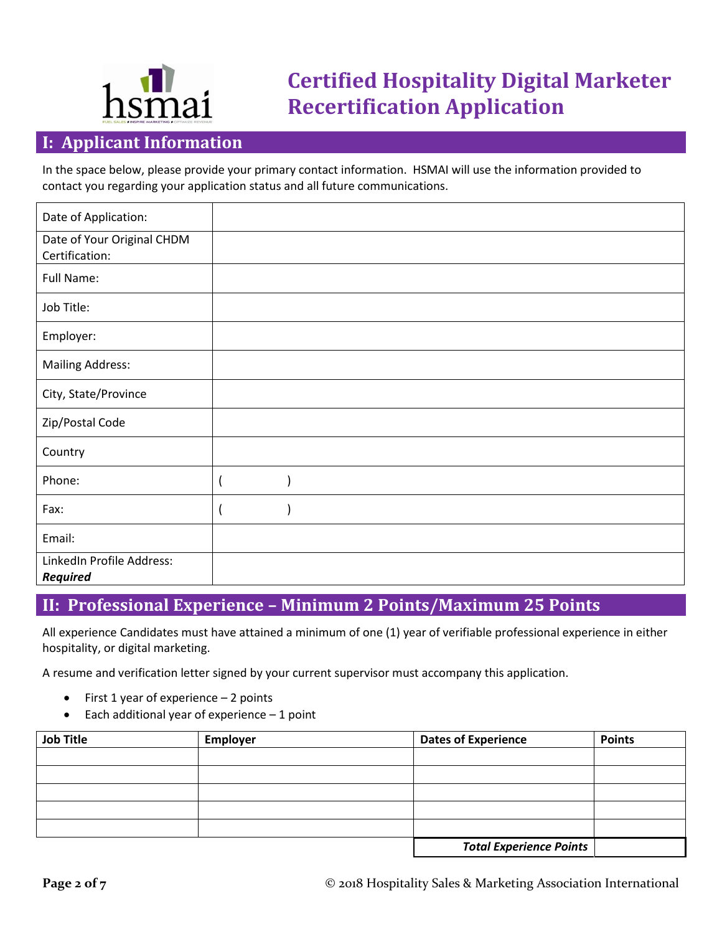

# **Certified Hospitality Digital Marketer Recertification Application**

## **I: Applicant Information**

In the space below, please provide your primary contact information. HSMAI will use the information provided to contact you regarding your application status and all future communications.

| Date of Application:                         |  |
|----------------------------------------------|--|
| Date of Your Original CHDM<br>Certification: |  |
| Full Name:                                   |  |
| Job Title:                                   |  |
| Employer:                                    |  |
| <b>Mailing Address:</b>                      |  |
| City, State/Province                         |  |
| Zip/Postal Code                              |  |
| Country                                      |  |
| Phone:                                       |  |
| Fax:                                         |  |
| Email:                                       |  |
| LinkedIn Profile Address:<br><b>Required</b> |  |

# **II: Professional Experience – Minimum 2 Points/Maximum 25 Points**

All experience Candidates must have attained a minimum of one (1) year of verifiable professional experience in either hospitality, or digital marketing.

A resume and verification letter signed by your current supervisor must accompany this application.

- $\bullet$  First 1 year of experience  $-$  2 points
- $\bullet$  Each additional year of experience  $-1$  point

| <b>Job Title</b> | Employer | <b>Dates of Experience</b>     | <b>Points</b> |
|------------------|----------|--------------------------------|---------------|
|                  |          |                                |               |
|                  |          |                                |               |
|                  |          |                                |               |
|                  |          |                                |               |
|                  |          |                                |               |
|                  |          | <b>Total Experience Points</b> |               |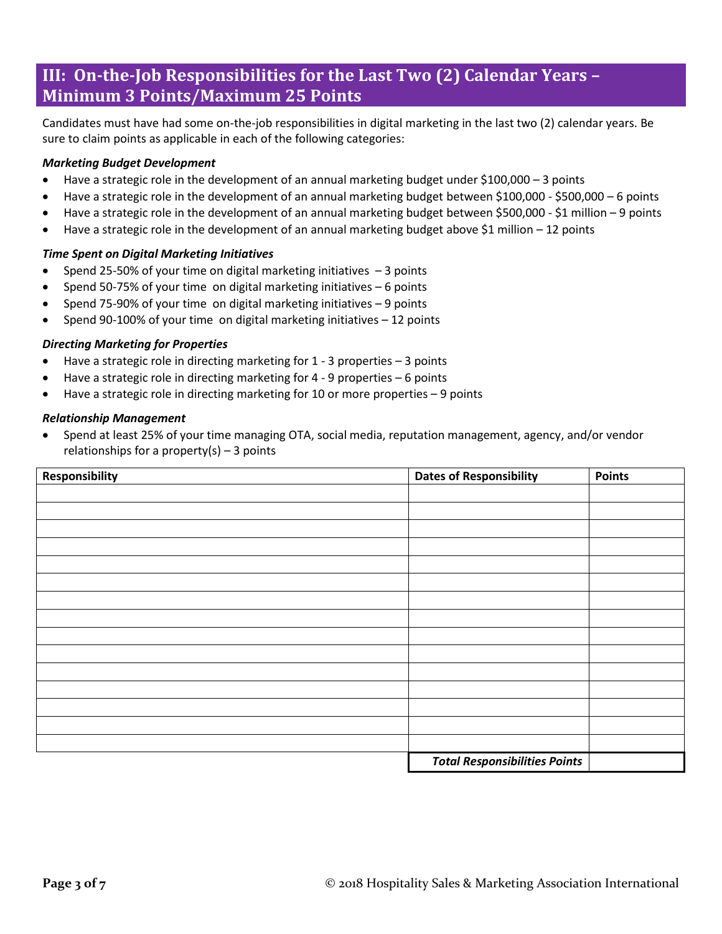# **III: On-the-Job Responsibilities for the Last Two (2) Calendar Years – Minimum 3 Points/Maximum 25 Points**

Candidates must have had some on-the-job responsibilities in digital marketing in the last two (2) calendar years. Be sure to claim points as applicable in each of the following categories:

## *Marketing Budget Development*

- Have a strategic role in the development of an annual marketing budget under \$100,000 3 points
- Have a strategic role in the development of an annual marketing budget between \$100,000 \$500,000 6 points
- Have a strategic role in the development of an annual marketing budget between \$500,000 \$1 million 9 points
- $\bullet$  Have a strategic role in the development of an annual marketing budget above \$1 million 12 points

## *Time Spent on Digital Marketing Initiatives*

- Spend 25-50% of your time on digital marketing initiatives  $-3$  points
- Spend 50-75% of your time on digital marketing initiatives 6 points
- Spend 75-90% of your time on digital marketing initiatives  $-9$  points
- Spend 90-100% of your time on digital marketing initiatives 12 points

## *Directing Marketing for Properties*

- Have a strategic role in directing marketing for 1 3 properties 3 points
- Have a strategic role in directing marketing for 4 9 properties 6 points
- Have a strategic role in directing marketing for 10 or more properties 9 points

## *Relationship Management*

 Spend at least 25% of your time managing OTA, social media, reputation management, agency, and/or vendor relationships for a property(s)  $-3$  points

| Responsibility | <b>Dates of Responsibility</b>       | <b>Points</b> |
|----------------|--------------------------------------|---------------|
|                |                                      |               |
|                |                                      |               |
|                |                                      |               |
|                |                                      |               |
|                |                                      |               |
|                |                                      |               |
|                |                                      |               |
|                |                                      |               |
|                |                                      |               |
|                |                                      |               |
|                |                                      |               |
|                |                                      |               |
|                |                                      |               |
|                |                                      |               |
|                |                                      |               |
|                | <b>Total Responsibilities Points</b> |               |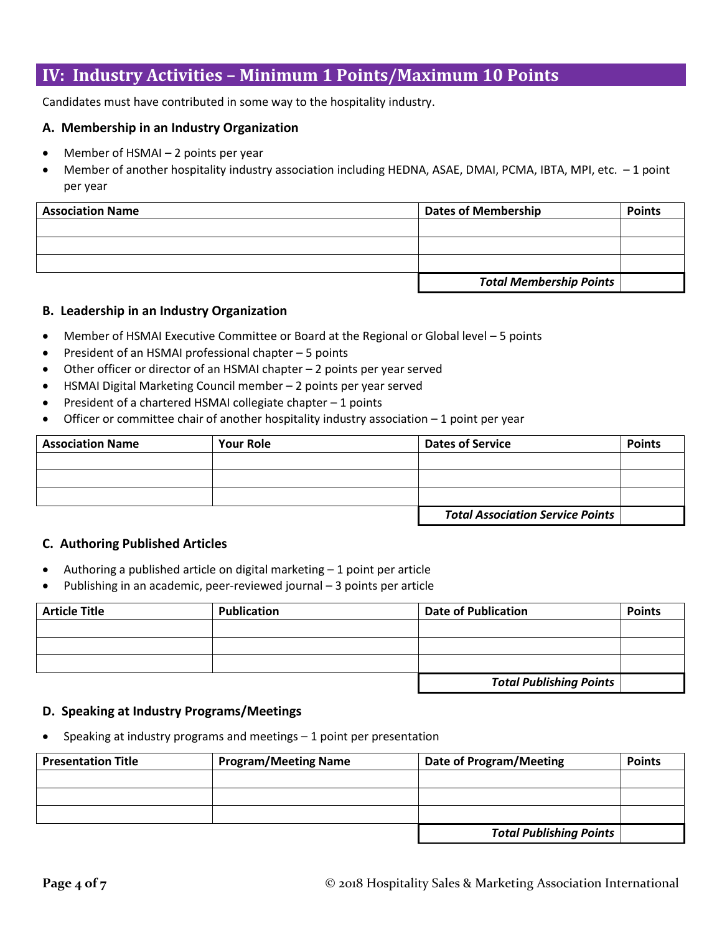## **IV: Industry Activities – Minimum 1 Points/Maximum 10 Points**

Candidates must have contributed in some way to the hospitality industry.

## **A. Membership in an Industry Organization**

- Member of HSMAI 2 points per year
- Member of another hospitality industry association including HEDNA, ASAE, DMAI, PCMA, IBTA, MPI, etc. 1 point per year

| <b>Association Name</b> | <b>Dates of Membership</b>     | <b>Points</b> |
|-------------------------|--------------------------------|---------------|
|                         |                                |               |
|                         |                                |               |
|                         |                                |               |
|                         | <b>Total Membership Points</b> |               |

## **B. Leadership in an Industry Organization**

- Member of HSMAI Executive Committee or Board at the Regional or Global level 5 points
- President of an HSMAI professional chapter 5 points
- Other officer or director of an HSMAI chapter 2 points per year served
- HSMAI Digital Marketing Council member 2 points per year served
- President of a chartered HSMAI collegiate chapter 1 points
- Officer or committee chair of another hospitality industry association  $-1$  point per year

| <b>Association Name</b> | <b>Your Role</b> | <b>Dates of Service</b>                 | <b>Points</b> |
|-------------------------|------------------|-----------------------------------------|---------------|
|                         |                  |                                         |               |
|                         |                  |                                         |               |
|                         |                  |                                         |               |
|                         |                  | <b>Total Association Service Points</b> |               |

## **C. Authoring Published Articles**

- Authoring a published article on digital marketing 1 point per article
- Publishing in an academic, peer-reviewed journal 3 points per article

| <b>Article Title</b> | <b>Publication</b> | <b>Date of Publication</b>     | <b>Points</b> |
|----------------------|--------------------|--------------------------------|---------------|
|                      |                    |                                |               |
|                      |                    |                                |               |
|                      |                    |                                |               |
|                      |                    | <b>Total Publishing Points</b> |               |

## **D. Speaking at Industry Programs/Meetings**

Speaking at industry programs and meetings – 1 point per presentation

| <b>Presentation Title</b> | <b>Program/Meeting Name</b> | Date of Program/Meeting        | <b>Points</b> |
|---------------------------|-----------------------------|--------------------------------|---------------|
|                           |                             |                                |               |
|                           |                             |                                |               |
|                           |                             |                                |               |
|                           |                             | <b>Total Publishing Points</b> |               |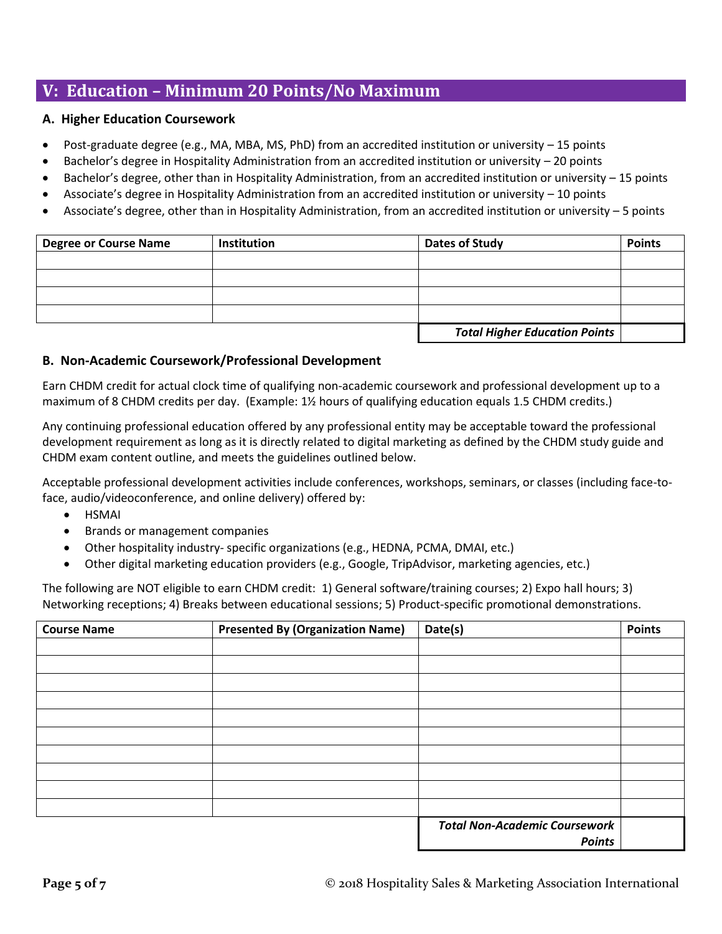# **V: Education – Minimum 20 Points/No Maximum**

## **A. Higher Education Coursework**

- Post-graduate degree (e.g., MA, MBA, MS, PhD) from an accredited institution or university  $-15$  points
- Bachelor's degree in Hospitality Administration from an accredited institution or university 20 points
- Bachelor's degree, other than in Hospitality Administration, from an accredited institution or university 15 points
- Associate's degree in Hospitality Administration from an accredited institution or university 10 points
- Associate's degree, other than in Hospitality Administration, from an accredited institution or university 5 points

| <b>Degree or Course Name</b> | Institution | Dates of Study                       | <b>Points</b> |
|------------------------------|-------------|--------------------------------------|---------------|
|                              |             |                                      |               |
|                              |             |                                      |               |
|                              |             |                                      |               |
|                              |             |                                      |               |
|                              |             | <b>Total Higher Education Points</b> |               |

## **B. Non-Academic Coursework/Professional Development**

Earn CHDM credit for actual clock time of qualifying non-academic coursework and professional development up to a maximum of 8 CHDM credits per day. (Example: 1½ hours of qualifying education equals 1.5 CHDM credits.)

Any continuing professional education offered by any professional entity may be acceptable toward the professional development requirement as long as it is directly related to digital marketing as defined by the CHDM study guide and CHDM exam content outline, and meets the guidelines outlined below.

Acceptable professional development activities include conferences, workshops, seminars, or classes (including face-toface, audio/videoconference, and online delivery) offered by:

- HSMAI
- Brands or management companies
- Other hospitality industry- specific organizations (e.g., HEDNA, PCMA, DMAI, etc.)
- Other digital marketing education providers (e.g., Google, TripAdvisor, marketing agencies, etc.)

The following are NOT eligible to earn CHDM credit: 1) General software/training courses; 2) Expo hall hours; 3) Networking receptions; 4) Breaks between educational sessions; 5) Product-specific promotional demonstrations.

| <b>Course Name</b> | <b>Presented By (Organization Name)</b> | Date(s)                              | <b>Points</b> |
|--------------------|-----------------------------------------|--------------------------------------|---------------|
|                    |                                         |                                      |               |
|                    |                                         |                                      |               |
|                    |                                         |                                      |               |
|                    |                                         |                                      |               |
|                    |                                         |                                      |               |
|                    |                                         |                                      |               |
|                    |                                         |                                      |               |
|                    |                                         |                                      |               |
|                    |                                         |                                      |               |
|                    |                                         |                                      |               |
|                    |                                         | <b>Total Non-Academic Coursework</b> |               |
|                    |                                         | <b>Points</b>                        |               |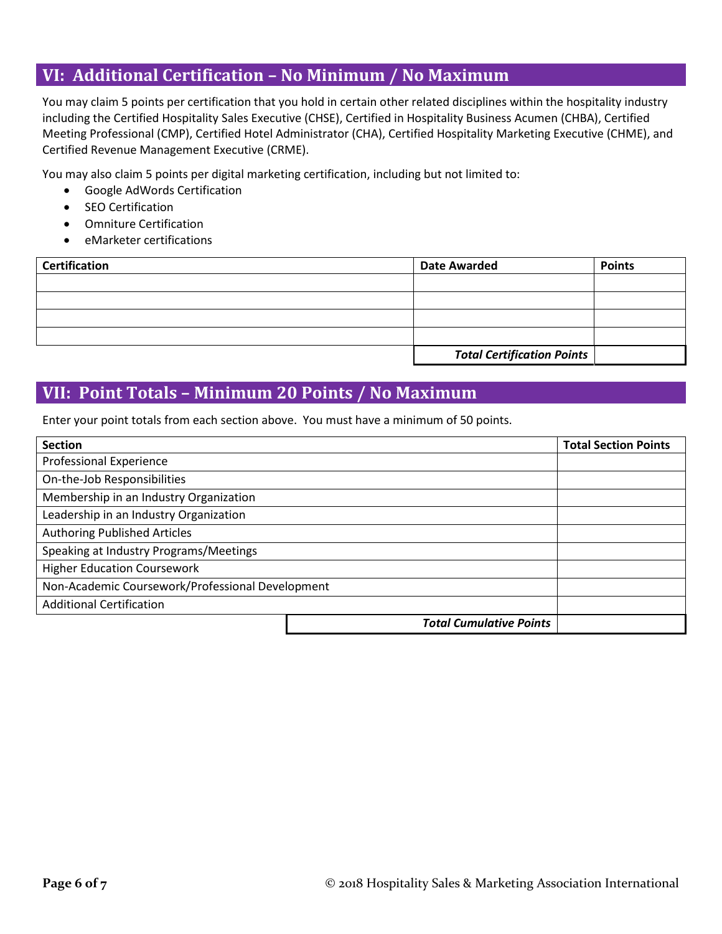## **VI: Additional Certification – No Minimum / No Maximum**

You may claim 5 points per certification that you hold in certain other related disciplines within the hospitality industry including the Certified Hospitality Sales Executive (CHSE), Certified in Hospitality Business Acumen (CHBA), Certified Meeting Professional (CMP), Certified Hotel Administrator (CHA), Certified Hospitality Marketing Executive (CHME), and Certified Revenue Management Executive (CRME).

You may also claim 5 points per digital marketing certification, including but not limited to:

- Google AdWords Certification
- SEO Certification
- Omniture Certification
- eMarketer certifications

| <b>Certification</b> | <b>Date Awarded</b>               | <b>Points</b> |
|----------------------|-----------------------------------|---------------|
|                      |                                   |               |
|                      |                                   |               |
|                      |                                   |               |
|                      |                                   |               |
|                      | <b>Total Certification Points</b> |               |

## **VII: Point Totals – Minimum 20 Points / No Maximum**

Enter your point totals from each section above. You must have a minimum of 50 points.

| <b>Section</b>                                   |                                | <b>Total Section Points</b> |
|--------------------------------------------------|--------------------------------|-----------------------------|
| <b>Professional Experience</b>                   |                                |                             |
| On-the-Job Responsibilities                      |                                |                             |
| Membership in an Industry Organization           |                                |                             |
| Leadership in an Industry Organization           |                                |                             |
| <b>Authoring Published Articles</b>              |                                |                             |
| Speaking at Industry Programs/Meetings           |                                |                             |
| <b>Higher Education Coursework</b>               |                                |                             |
| Non-Academic Coursework/Professional Development |                                |                             |
| <b>Additional Certification</b>                  |                                |                             |
|                                                  | <b>Total Cumulative Points</b> |                             |